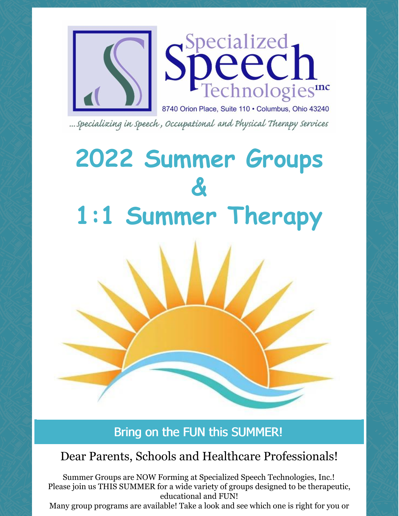

... Specializing in Speech, Occupational and Physical Therapy Services

# **2022 Summer Groups & 1:1 Summer Therapy**

## Bring on the FUN this SUMMER!

## Dear Parents, Schools and Healthcare Professionals!

Summer Groups are NOW Forming at Specialized Speech Technologies, Inc.! Please join us THIS SUMMER for a wide variety of groups designed to be therapeutic, educational and FUN!

Many group programs are available! Take a look and see which one is right for you or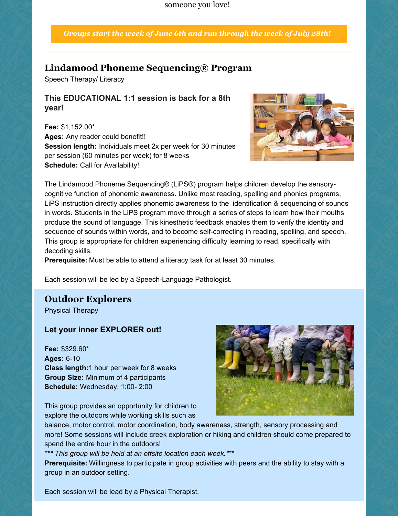someone you love!

*Groups start the week of June 6th and run through the week of July 28th!*

#### **Lindamood Phoneme Sequencing® Program**

Speech Therapy/ Literacy

#### **This EDUCATIONAL 1:1 session is back for a 8th year!**

**Fee:** \$1,152.00\* **Ages:** Any reader could benefit!! **Session length:** Individuals meet 2x per week for 30 minutes per session (60 minutes per week) for 8 weeks **Schedule:** Call for Availability!



The Lindamood Phoneme Sequencing® (LiPS®) program helps children develop the sensorycognitive function of phonemic awareness. Unlike most reading, spelling and phonics programs, LiPS instruction directly applies phonemic awareness to the identification & sequencing of sounds in words. Students in the LiPS program move through a series of steps to learn how their mouths produce the sound of language. This kinesthetic feedback enables them to verify the identity and sequence of sounds within words, and to become self-correcting in reading, spelling, and speech. This group is appropriate for children experiencing difficulty learning to read, specifically with decoding skills.

**Prerequisite:** Must be able to attend a literacy task for at least 30 minutes.

Each session will be led by a Speech-Language Pathologist.

#### **Outdoor Explorers**

Physical Therapy

#### **Let your inner EXPLORER out!**

**Fee:** \$329.60\* **Ages:** 6-10 **Class length:**1 hour per week for 8 weeks **Group Size:** Minimum of 4 participants **Schedule:** Wednesday, 1:00- 2:00

This group provides an opportunity for children to explore the outdoors while working skills such as



balance, motor control, motor coordination, body awareness, strength, sensory processing and more! Some sessions will include creek exploration or hiking and children should come prepared to spend the entire hour in the outdoors!

*\*\*\* This group will be held at an offsite location each week.\*\*\**

**Prerequisite:** Willingness to participate in group activities with peers and the ability to stay with a group in an outdoor setting.

Each session will be lead by a Physical Therapist.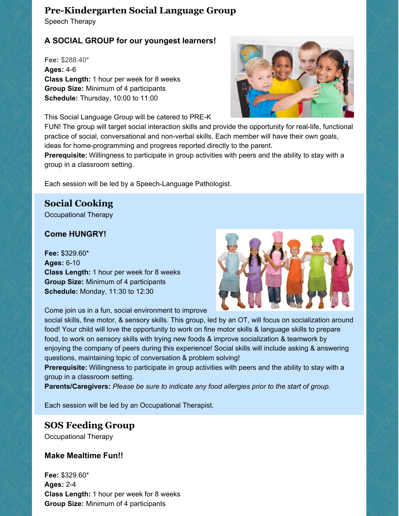#### **Pre-Kindergarten Social Language Group**

Speech Therapy

#### **A SOCIAL GROUP for our youngest learners!**

**Fee:** \$288.40\* **Ages:** 4-6 **Class Length:** 1 hour per week for 8 weeks **Group Size:** Minimum of 4 participants **Schedule:** Thursday, 10:00 to 11:00

This Social Language Group will be catered to PRE-K



FUN! The group will target social interaction skills and provide the opportunity for real-life, functional practice of social, conversational and non-verbal skills. Each member will have their own goals, ideas for home-programming and progress reported directly to the parent.

**Prerequisite:** Willingness to participate in group activities with peers and the ability to stay with a group in a classroom setting.

Each session will be led by a Speech-Language Pathologist.

#### **Social Cooking**

Occupational Therapy

#### **Come HUNGRY!**

**Fee:** \$329.60\* **Ages:** 6-10 **Class Length:** 1 hour per week for 8 weeks **Group Size:** Minimum of 4 participants **Schedule:** Monday, 11:30 to 12:30



Come join us in a fun, social environment to improve

social skills, fine motor, & sensory skills. This group, led by an OT, will focus on socialization around food! Your child will love the opportunity to work on fine motor skills & language skills to prepare food, to work on sensory skills with trying new foods & improve socialization & teamwork by enjoying the company of peers during this experience! Social skills will include asking & answering questions, maintaining topic of conversation & problem solving!

**Prerequisite:** Willingness to participate in group activities with peers and the ability to stay with a group in a classroom setting.

**Parents/Caregivers:** *Please be sure to indicate any food allergies prior to the start of group.*

Each session will be led by an Occupational Therapist.

#### **SOS Feeding Group**

Occupational Therapy

#### **Make Mealtime Fun!!**

**Fee:** \$329.60\* **Ages:** 2-4 **Class Length:** 1 hour per week for 8 weeks **Group Size:** Minimum of 4 participants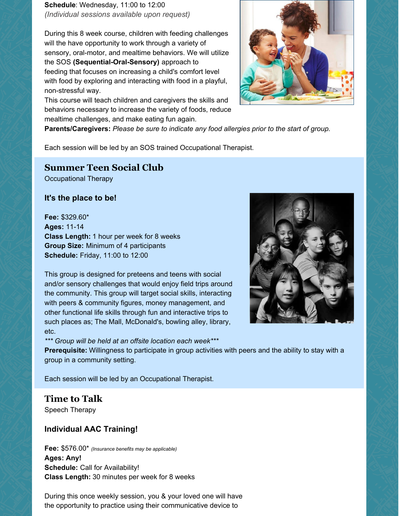**Schedule**: Wednesday, 11:00 to 12:00 *(Individual sessions available upon request)*

During this 8 week course, children with feeding challenges will the have opportunity to work through a variety of sensory, oral-motor, and mealtime behaviors. We will utilize the SOS **(Sequential-Oral-Sensory)** approach to feeding that focuses on increasing a child's comfort level with food by exploring and interacting with food in a playful, non-stressful way.

This course will teach children and caregivers the skills and behaviors necessary to increase the variety of foods, reduce mealtime challenges, and make eating fun again.



**Parents/Caregivers:** *Please be sure to indicate any food allergies prior to the start of group.*

Each session will be led by an SOS trained Occupational Therapist.

#### **Summer Teen Social Club**

Occupational Therapy

**It's the place to be!**

**Fee:** \$329.60\* **Ages:** 11-14 **Class Length:** 1 hour per week for 8 weeks **Group Size:** Minimum of 4 participants **Schedule:** Friday, 11:00 to 12:00

This group is designed for preteens and teens with social and/or sensory challenges that would enjoy field trips around the community. This group will target social skills, interacting with peers & community figures, money management, and other functional life skills through fun and interactive trips to such places as; The Mall, McDonald's, bowling alley, library, etc.



**Prerequisite:** Willingness to participate in group activities with peers and the ability to stay with a group in a community setting.

Each session will be led by an Occupational Therapist.

*\*\*\* Group will be held at an offsite location each week\*\*\**

**Time to Talk** Speech Therapy

#### **Individual AAC Training!**

**Fee:** \$576.00\* *(Insurance benefits may be applicable)* **Ages: Any! Schedule:** Call for Availability! **Class Length:** 30 minutes per week for 8 weeks

During this once weekly session, you & your loved one will have the opportunity to practice using their communicative device to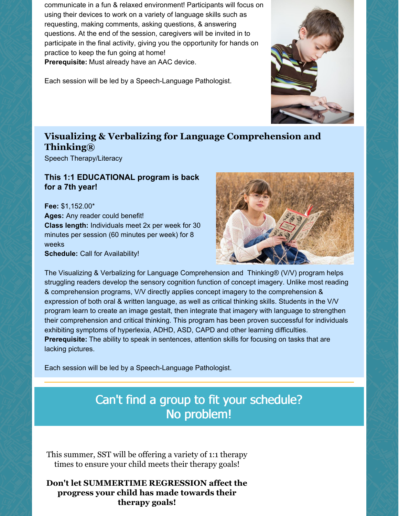communicate in a fun & relaxed environment! Participants will focus on using their devices to work on a variety of language skills such as requesting, making comments, asking questions, & answering questions. At the end of the session, caregivers will be invited in to participate in the final activity, giving you the opportunity for hands on practice to keep the fun going at home! **Prerequisite:** Must already have an AAC device.

Each session will be led by a Speech-Language Pathologist.

#### **Visualizing & Verbalizing for Language Comprehension and Thinking®**

Speech Therapy/Literacy

#### **This 1:1 EDUCATIONAL program is back for a 7th year!**

**Fee:** \$1,152.00\* **Ages:** Any reader could benefit! **Class length:** Individuals meet 2x per week for 30 minutes per session (60 minutes per week) for 8 weeks **Schedule:** Call for Availability!



The Visualizing & Verbalizing for Language Comprehension and Thinking® (V/V) program helps struggling readers develop the sensory cognition function of concept imagery. Unlike most reading & comprehension programs, V/V directly applies concept imagery to the comprehension & expression of both oral & written language, as well as critical thinking skills. Students in the V/V program learn to create an image gestalt, then integrate that imagery with language to strengthen their comprehension and critical thinking. This program has been proven successful for individuals exhibiting symptoms of hyperlexia, ADHD, ASD, CAPD and other learning difficulties. **Prerequisite:** The ability to speak in sentences, attention skills for focusing on tasks that are lacking pictures.

Each session will be led by a Speech-Language Pathologist.

### Can't find a group to fit your schedule? No problem!

This summer, SST will be offering a variety of 1:1 therapy times to ensure your child meets their therapy goals!

#### **Don't let SUMMERTIME REGRESSION affect the progress your child has made towards their therapy goals!**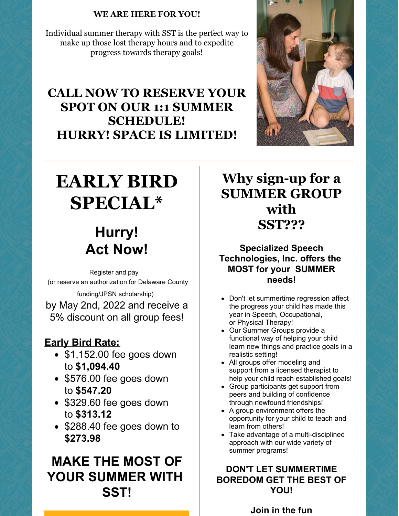#### **WE ARE HERE FOR YOU!**

Individual summer therapy with SST is the perfect way to make up those lost therapy hours and to expedite progress towards therapy goals!

## **CALL NOW TO RESERVE YOUR SPOT ON OUR 1:1 SUMMER SCHEDULE! HURRY! SPACE IS LIMITED!**



## **EARLY BIRD SPECIAL\***

## **Hurry! Act Now!**

Register and pay (or reserve an authorization for Delaware County funding/JPSN scholarship) by May 2nd, 2022 and receive a 5% discount on all group fees!

### **Early Bird Rate:**

- $\bullet$  \$1,152.00 fee goes down to **\$1,094.40**
- \$576.00 fee goes down to **\$547.20**
- \$329.60 fee goes down to **\$313.12**
- \$288.40 fee goes down to **\$273.98**

## **MAKE THE MOST OF YOUR SUMMER WITH SST!**

## **Why sign-up for a SUMMER GROUP with SST???**

**Specialized Speech Technologies, Inc. offers the MOST for your SUMMER needs!**

- Don't let summertime regression affect the progress your child has made this year in Speech, Occupational, or Physical Therapy!
- Our Summer Groups provide a functional way of helping your child learn new things and practice goals in a realistic setting!
- All groups offer modeling and support from a licensed therapist to help your child reach established goals!
- Group participants get support from peers and building of confidence through newfound friendships!
- A group environment offers the opportunity for your child to teach and learn from others!
- Take advantage of a multi-disciplined approach with our wide variety of summer programs!

#### **DON'T LET SUMMERTIME BOREDOM GET THE BEST OF YOU!**

**Join in the fun**